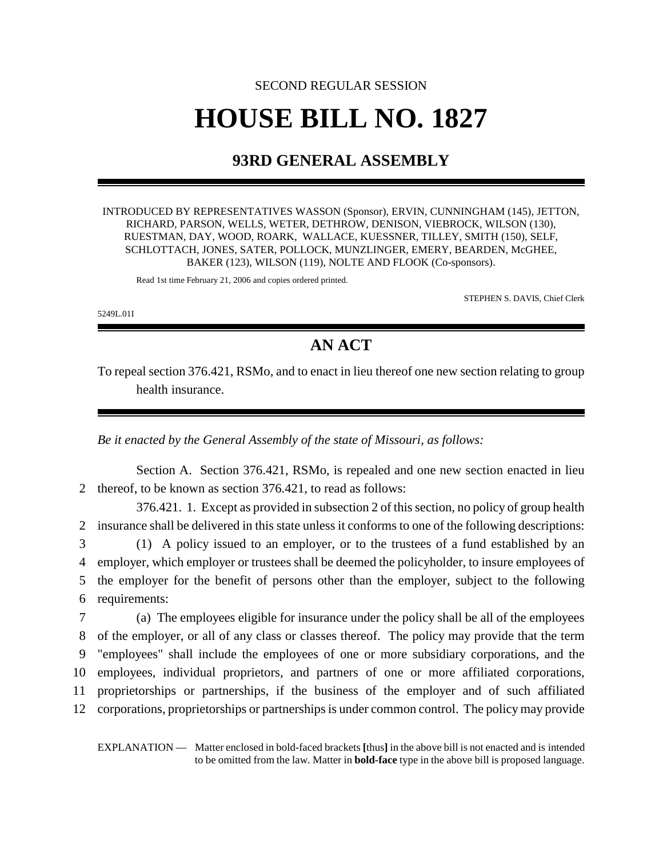# SECOND REGULAR SESSION **HOUSE BILL NO. 1827**

## **93RD GENERAL ASSEMBLY**

INTRODUCED BY REPRESENTATIVES WASSON (Sponsor), ERVIN, CUNNINGHAM (145), JETTON, RICHARD, PARSON, WELLS, WETER, DETHROW, DENISON, VIEBROCK, WILSON (130), RUESTMAN, DAY, WOOD, ROARK, WALLACE, KUESSNER, TILLEY, SMITH (150), SELF, SCHLOTTACH, JONES, SATER, POLLOCK, MUNZLINGER, EMERY, BEARDEN, McGHEE, BAKER (123), WILSON (119), NOLTE AND FLOOK (Co-sponsors).

Read 1st time February 21, 2006 and copies ordered printed.

STEPHEN S. DAVIS, Chief Clerk

5249L.01I

## **AN ACT**

To repeal section 376.421, RSMo, and to enact in lieu thereof one new section relating to group health insurance.

*Be it enacted by the General Assembly of the state of Missouri, as follows:*

Section A. Section 376.421, RSMo, is repealed and one new section enacted in lieu 2 thereof, to be known as section 376.421, to read as follows:

376.421. 1. Except as provided in subsection 2 of this section, no policy of group health 2 insurance shall be delivered in this state unless it conforms to one of the following descriptions:

 (1) A policy issued to an employer, or to the trustees of a fund established by an employer, which employer or trustees shall be deemed the policyholder, to insure employees of the employer for the benefit of persons other than the employer, subject to the following requirements:

 (a) The employees eligible for insurance under the policy shall be all of the employees of the employer, or all of any class or classes thereof. The policy may provide that the term "employees" shall include the employees of one or more subsidiary corporations, and the employees, individual proprietors, and partners of one or more affiliated corporations, proprietorships or partnerships, if the business of the employer and of such affiliated corporations, proprietorships or partnerships is under common control. The policy may provide

EXPLANATION — Matter enclosed in bold-faced brackets **[**thus**]** in the above bill is not enacted and is intended to be omitted from the law. Matter in **bold-face** type in the above bill is proposed language.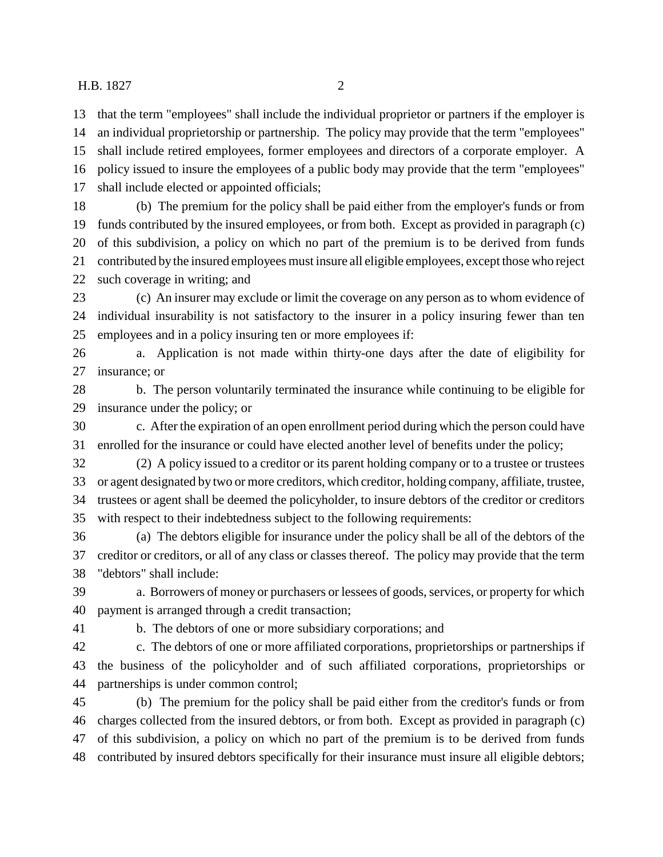that the term "employees" shall include the individual proprietor or partners if the employer is

 an individual proprietorship or partnership. The policy may provide that the term "employees" shall include retired employees, former employees and directors of a corporate employer. A policy issued to insure the employees of a public body may provide that the term "employees" shall include elected or appointed officials; (b) The premium for the policy shall be paid either from the employer's funds or from funds contributed by the insured employees, or from both. Except as provided in paragraph (c) of this subdivision, a policy on which no part of the premium is to be derived from funds contributed by the insured employees must insure all eligible employees, except those who reject such coverage in writing; and (c) An insurer may exclude or limit the coverage on any person as to whom evidence of individual insurability is not satisfactory to the insurer in a policy insuring fewer than ten employees and in a policy insuring ten or more employees if: a. Application is not made within thirty-one days after the date of eligibility for insurance; or

 b. The person voluntarily terminated the insurance while continuing to be eligible for insurance under the policy; or

 c. After the expiration of an open enrollment period during which the person could have enrolled for the insurance or could have elected another level of benefits under the policy;

 (2) A policy issued to a creditor or its parent holding company or to a trustee or trustees or agent designated by two or more creditors, which creditor, holding company, affiliate, trustee, trustees or agent shall be deemed the policyholder, to insure debtors of the creditor or creditors with respect to their indebtedness subject to the following requirements:

 (a) The debtors eligible for insurance under the policy shall be all of the debtors of the creditor or creditors, or all of any class or classes thereof. The policy may provide that the term "debtors" shall include:

 a. Borrowers of money or purchasers or lessees of goods, services, or property for which payment is arranged through a credit transaction;

b. The debtors of one or more subsidiary corporations; and

 c. The debtors of one or more affiliated corporations, proprietorships or partnerships if the business of the policyholder and of such affiliated corporations, proprietorships or partnerships is under common control;

 (b) The premium for the policy shall be paid either from the creditor's funds or from charges collected from the insured debtors, or from both. Except as provided in paragraph (c) of this subdivision, a policy on which no part of the premium is to be derived from funds contributed by insured debtors specifically for their insurance must insure all eligible debtors;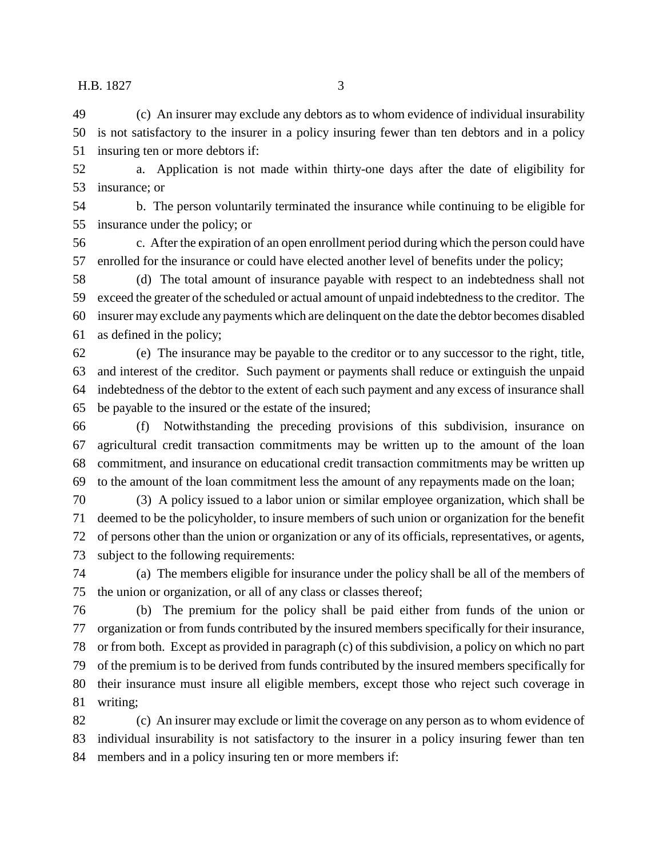(c) An insurer may exclude any debtors as to whom evidence of individual insurability is not satisfactory to the insurer in a policy insuring fewer than ten debtors and in a policy insuring ten or more debtors if:

 a. Application is not made within thirty-one days after the date of eligibility for insurance; or

 b. The person voluntarily terminated the insurance while continuing to be eligible for insurance under the policy; or

 c. After the expiration of an open enrollment period during which the person could have enrolled for the insurance or could have elected another level of benefits under the policy;

 (d) The total amount of insurance payable with respect to an indebtedness shall not exceed the greater of the scheduled or actual amount of unpaid indebtedness to the creditor. The insurer may exclude any payments which are delinquent on the date the debtor becomes disabled as defined in the policy;

 (e) The insurance may be payable to the creditor or to any successor to the right, title, and interest of the creditor. Such payment or payments shall reduce or extinguish the unpaid indebtedness of the debtor to the extent of each such payment and any excess of insurance shall be payable to the insured or the estate of the insured;

 (f) Notwithstanding the preceding provisions of this subdivision, insurance on agricultural credit transaction commitments may be written up to the amount of the loan commitment, and insurance on educational credit transaction commitments may be written up to the amount of the loan commitment less the amount of any repayments made on the loan;

 (3) A policy issued to a labor union or similar employee organization, which shall be deemed to be the policyholder, to insure members of such union or organization for the benefit of persons other than the union or organization or any of its officials, representatives, or agents, subject to the following requirements:

 (a) The members eligible for insurance under the policy shall be all of the members of the union or organization, or all of any class or classes thereof;

 (b) The premium for the policy shall be paid either from funds of the union or organization or from funds contributed by the insured members specifically for their insurance, or from both. Except as provided in paragraph (c) of this subdivision, a policy on which no part of the premium is to be derived from funds contributed by the insured members specifically for their insurance must insure all eligible members, except those who reject such coverage in writing;

 (c) An insurer may exclude or limit the coverage on any person as to whom evidence of individual insurability is not satisfactory to the insurer in a policy insuring fewer than ten members and in a policy insuring ten or more members if: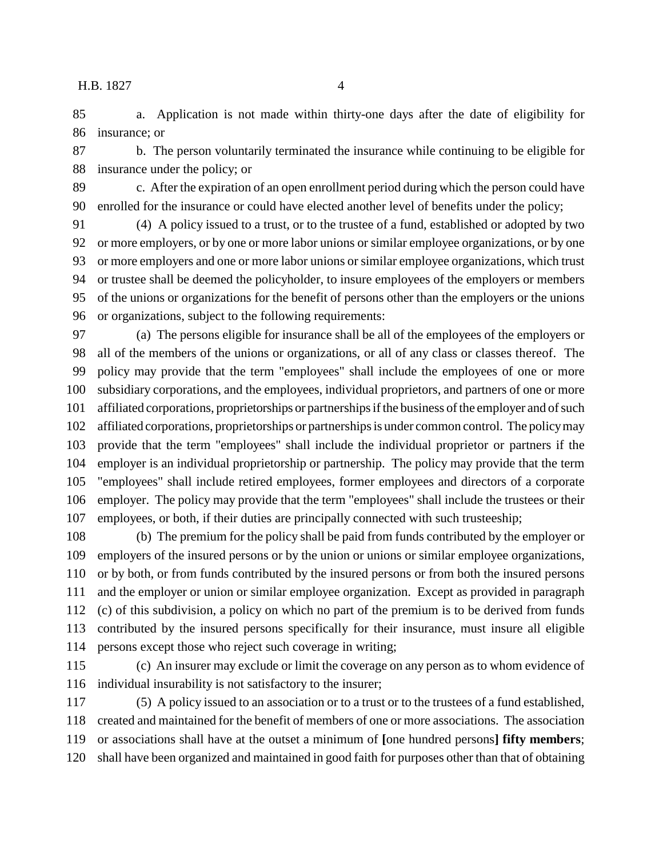a. Application is not made within thirty-one days after the date of eligibility for insurance; or

 b. The person voluntarily terminated the insurance while continuing to be eligible for insurance under the policy; or

 c. After the expiration of an open enrollment period during which the person could have enrolled for the insurance or could have elected another level of benefits under the policy;

 (4) A policy issued to a trust, or to the trustee of a fund, established or adopted by two or more employers, or by one or more labor unions or similar employee organizations, or by one or more employers and one or more labor unions or similar employee organizations, which trust or trustee shall be deemed the policyholder, to insure employees of the employers or members of the unions or organizations for the benefit of persons other than the employers or the unions or organizations, subject to the following requirements:

 (a) The persons eligible for insurance shall be all of the employees of the employers or 98 all of the members of the unions or organizations, or all of any class or classes thereof. The policy may provide that the term "employees" shall include the employees of one or more subsidiary corporations, and the employees, individual proprietors, and partners of one or more affiliated corporations, proprietorships or partnerships if the business of the employer and of such affiliated corporations, proprietorships or partnerships is under common control. The policy may provide that the term "employees" shall include the individual proprietor or partners if the employer is an individual proprietorship or partnership. The policy may provide that the term "employees" shall include retired employees, former employees and directors of a corporate employer. The policy may provide that the term "employees" shall include the trustees or their employees, or both, if their duties are principally connected with such trusteeship;

 (b) The premium for the policy shall be paid from funds contributed by the employer or employers of the insured persons or by the union or unions or similar employee organizations, or by both, or from funds contributed by the insured persons or from both the insured persons and the employer or union or similar employee organization. Except as provided in paragraph (c) of this subdivision, a policy on which no part of the premium is to be derived from funds contributed by the insured persons specifically for their insurance, must insure all eligible persons except those who reject such coverage in writing;

 (c) An insurer may exclude or limit the coverage on any person as to whom evidence of individual insurability is not satisfactory to the insurer;

 (5) A policy issued to an association or to a trust or to the trustees of a fund established, created and maintained for the benefit of members of one or more associations. The association or associations shall have at the outset a minimum of **[**one hundred persons**] fifty members**; shall have been organized and maintained in good faith for purposes other than that of obtaining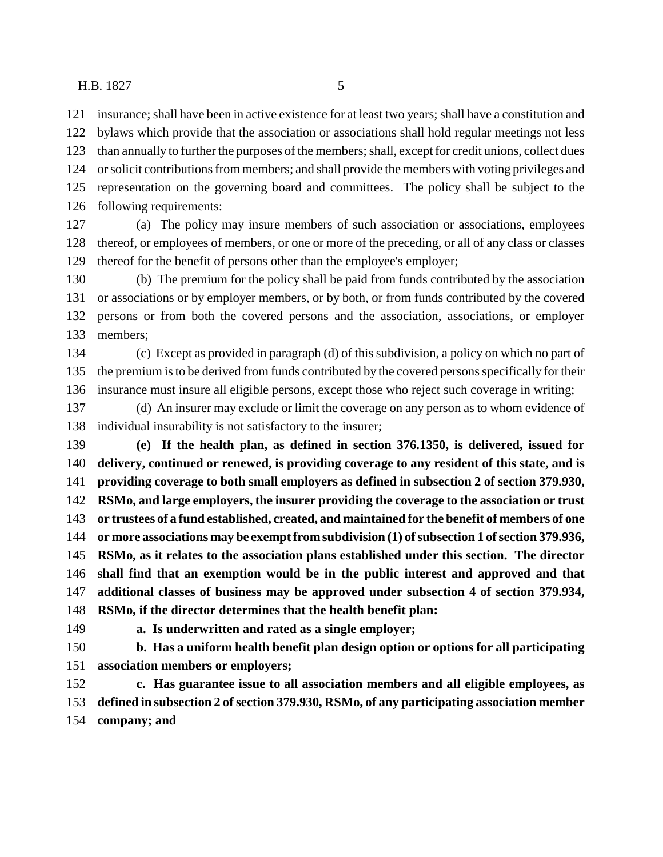insurance; shall have been in active existence for at least two years; shall have a constitution and

 bylaws which provide that the association or associations shall hold regular meetings not less than annually to further the purposes of the members; shall, except for credit unions, collect dues or solicit contributions from members; and shall provide the members with voting privileges and representation on the governing board and committees. The policy shall be subject to the following requirements:

 (a) The policy may insure members of such association or associations, employees thereof, or employees of members, or one or more of the preceding, or all of any class or classes thereof for the benefit of persons other than the employee's employer;

 (b) The premium for the policy shall be paid from funds contributed by the association or associations or by employer members, or by both, or from funds contributed by the covered persons or from both the covered persons and the association, associations, or employer members;

 (c) Except as provided in paragraph (d) of this subdivision, a policy on which no part of the premium is to be derived from funds contributed by the covered persons specifically for their insurance must insure all eligible persons, except those who reject such coverage in writing;

 (d) An insurer may exclude or limit the coverage on any person as to whom evidence of individual insurability is not satisfactory to the insurer;

 **(e) If the health plan, as defined in section 376.1350, is delivered, issued for delivery, continued or renewed, is providing coverage to any resident of this state, and is providing coverage to both small employers as defined in subsection 2 of section 379.930, RSMo, and large employers, the insurer providing the coverage to the association or trust or trustees of a fund established, created, and maintained for the benefit of members of one or more associations may be exempt from subdivision (1) of subsection 1 of section 379.936, RSMo, as it relates to the association plans established under this section. The director shall find that an exemption would be in the public interest and approved and that additional classes of business may be approved under subsection 4 of section 379.934, RSMo, if the director determines that the health benefit plan:**

**a. Is underwritten and rated as a single employer;**

 **b. Has a uniform health benefit plan design option or options for all participating association members or employers;**

 **c. Has guarantee issue to all association members and all eligible employees, as defined in subsection 2 of section 379.930, RSMo, of any participating association member company; and**